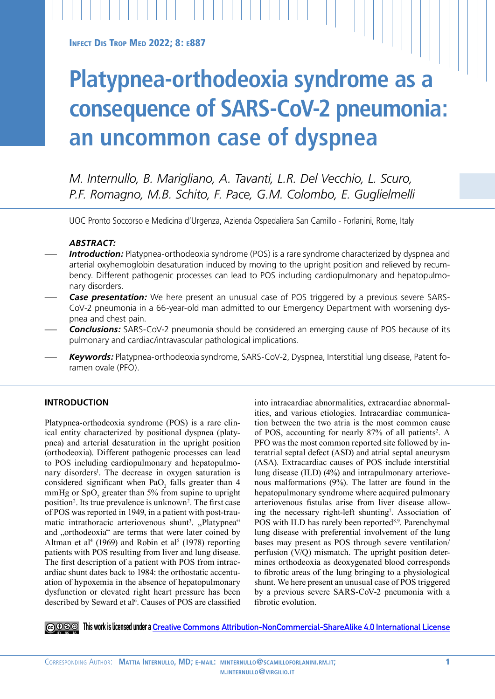**INFECT DIS TROP MED 2022; 8: E887** 

# **Platypnea-orthodeoxia syndrome as a consequence of SARS-CoV-2 pneumonia: an uncommon case of dyspnea**

*M. Internullo, B. Marigliano, A. Tavanti, L.R. Del Vecchio, L. Scuro, P.F. Romagno, M.B. Schito, F. Pace, G.M. Colombo, E. Guglielmelli*

UOC Pronto Soccorso e Medicina d'Urgenza, Azienda Ospedaliera San Camillo - Forlanini, Rome, Italy

# *ABSTRACT:*

- **Introduction:** Platypnea-orthodeoxia syndrome (POS) is a rare syndrome characterized by dyspnea and arterial oxyhemoglobin desaturation induced by moving to the upright position and relieved by recumbency. Different pathogenic processes can lead to POS including cardiopulmonary and hepatopulmonary disorders.
- *Case presentation:* We here present an unusual case of POS triggered by a previous severe SARS-CoV-2 pneumonia in a 66-year-old man admitted to our Emergency Department with worsening dyspnea and chest pain.
- *Conclusions:* SARS-CoV-2 pneumonia should be considered an emerging cause of POS because of its pulmonary and cardiac/intravascular pathological implications.
- *Keywords:* Platypnea-orthodeoxia syndrome, SARS-CoV-2, Dyspnea, Interstitial lung disease, Patent foramen ovale (PFO).

## **INTRODUCTION**

Platypnea-orthodeoxia syndrome (POS) is a rare clinical entity characterized by positional dyspnea (platypnea) and arterial desaturation in the upright position (orthodeoxia). Different pathogenic processes can lead to POS including cardiopulmonary and hepatopulmonary disorders<sup>1</sup>. The decrease in oxygen saturation is considered significant when  $PaO_2$  falls greater than 4 mmHg or  $SpO<sub>2</sub>$  greater than 5% from supine to upright position<sup>2</sup>. Its true prevalence is unknown<sup>2</sup>. The first case of POS was reported in 1949, in a patient with post-traumatic intrathoracic arteriovenous shunt<sup>3</sup>. "Platypnea" and "orthodeoxia" are terms that were later coined by Altman et al<sup>4</sup> (1969) and Robin et al<sup>5</sup> (1978) reporting patients with POS resulting from liver and lung disease. The first description of a patient with POS from intracardiac shunt dates back to 1984: the orthostatic accentuation of hypoxemia in the absence of hepatopulmonary dysfunction or elevated right heart pressure has been described by Seward et al<sup>6</sup>. Causes of POS are classified into intracardiac abnormalities, extracardiac abnormalities, and various etiologies. Intracardiac communication between the two atria is the most common cause of POS, accounting for nearly 87% of all patients<sup>2</sup>. A PFO was the most common reported site followed by interatrial septal defect (ASD) and atrial septal aneurysm (ASA). Extracardiac causes of POS include interstitial lung disease (ILD) (4%) and intrapulmonary arteriovenous malformations (9%). The latter are found in the hepatopulmonary syndrome where acquired pulmonary arteriovenous fistulas arise from liver disease allowing the necessary right-left shunting<sup>7</sup>. Association of POS with ILD has rarely been reported<sup>8,9</sup>. Parenchymal lung disease with preferential involvement of the lung bases may present as POS through severe ventilation/ perfusion (V/Q) mismatch. The upright position determines orthodeoxia as deoxygenated blood corresponds to fibrotic areas of the lung bringing to a physiological shunt. We here present an unusual case of POS triggered by a previous severe SARS-CoV-2 pneumonia with a fibrotic evolution.

**This work is licensed under a [Creative Commons Attribution-NonCommercial-ShareAlike 4.0 International License](https://creativecommons.org/licenses/by-nc-sa/4.0/)**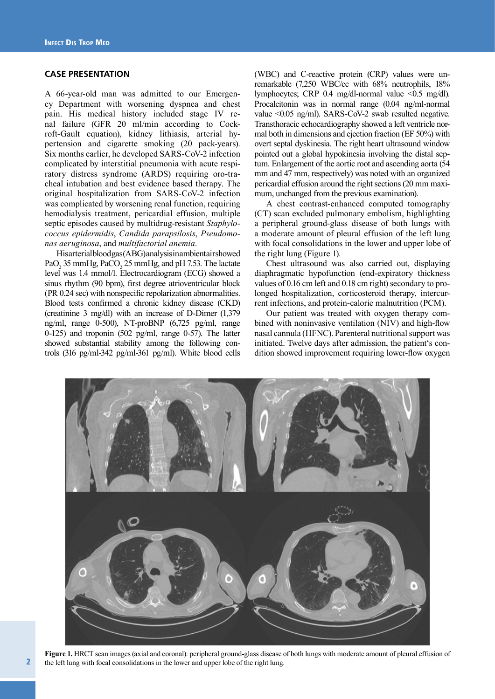### **CASE PRESENTATION**

A 66-year-old man was admitted to our Emergency Department with worsening dyspnea and chest pain. His medical history included stage IV renal failure (GFR 20 ml/min according to Cockroft-Gault equation), kidney lithiasis, arterial hypertension and cigarette smoking (20 pack-years). Six months earlier, he developed SARS-CoV-2 infection complicated by interstitial pneumonia with acute respiratory distress syndrome (ARDS) requiring oro-tracheal intubation and best evidence based therapy. The original hospitalization from SARS-CoV-2 infection was complicated by worsening renal function, requiring hemodialysis treatment, pericardial effusion, multiple septic episodes caused by multidrug-resistant *Staphylococcus epidermidis*, *Candida parapsilosis*, *Pseudomonas aeruginosa*, and *multifactorial anemia*.

His arterial blood gas (ABG) analysis in ambientair showed  $PaO<sub>2</sub>$  35 mmHg, PaCO<sub>2</sub> 25 mmHg, and pH 7.53. The lactate level was 1.4 mmol/l. Electrocardiogram (ECG) showed a sinus rhythm (90 bpm), first degree atrioventricular block (PR 0.24 sec) with nonspecific repolarization abnormalities. Blood tests confirmed a chronic kidney disease (CKD) (creatinine 3 mg/dl) with an increase of D-Dimer (1,379 ng/ml, range 0-500), NT-proBNP (6,725 pg/ml, range 0-125) and troponin (502 pg/ml, range 0-57). The latter showed substantial stability among the following controls (316 pg/ml-342 pg/ml-361 pg/ml). White blood cells

(WBC) and C-reactive protein (CRP) values were unremarkable (7,250 WBC/cc with 68% neutrophils, 18% lymphocytes; CRP 0.4 mg/dl-normal value <0.5 mg/dl). Procalcitonin was in normal range (0.04 ng/ml-normal value <0.05 ng/ml). SARS-CoV-2 swab resulted negative. Transthoracic echocardiography showed a left ventricle normal both in dimensions and ejection fraction (EF 50%) with overt septal dyskinesia. The right heart ultrasound window pointed out a global hypokinesia involving the distal septum. Enlargement of the aortic root and ascending aorta (54 mm and 47 mm, respectively) was noted with an organized pericardial effusion around the right sections (20 mm maximum, unchanged from the previous examination).

A chest contrast-enhanced computed tomography (CT) scan excluded pulmonary embolism, highlighting a peripheral ground-glass disease of both lungs with a moderate amount of pleural effusion of the left lung with focal consolidations in the lower and upper lobe of the right lung (Figure 1).

Chest ultrasound was also carried out, displaying diaphragmatic hypofunction (end-expiratory thickness values of 0.16 cm left and 0.18 cm right) secondary to prolonged hospitalization, corticosteroid therapy, intercurrent infections, and protein-calorie malnutrition (PCM).

Our patient was treated with oxygen therapy combined with noninvasive ventilation (NIV) and high-flow nasal cannula (HFNC). Parenteral nutritional support was initiated. Twelve days after admission, the patient's condition showed improvement requiring lower-flow oxygen



**Figure 1.** HRCT scan images (axial and coronal): peripheral ground-glass disease of both lungs with moderate amount of pleural effusion of the left lung with focal consolidations in the lower and upper lobe of the right lung.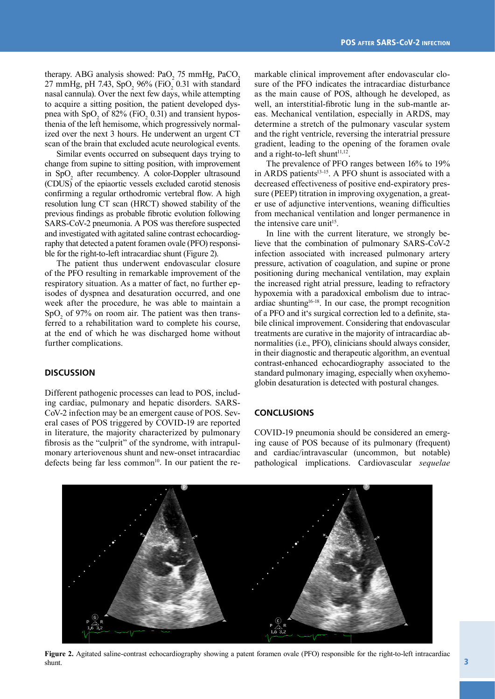therapy. ABG analysis showed:  $PaO_2$  75 mmHg,  $PaCO_2$  $27 \text{ mmHg, pH } 7.43, \text{ SpO}_2\, 96\% \text{ (FiO}_2\, 0.31 \text{ with standard)}$ nasal cannula). Over the next few days, while attempting to acquire a sitting position, the patient developed dyspnea with  $SpO<sub>2</sub>$  of 82% (FiO<sub>2</sub> 0.31) and transient hyposthenia of the left hemisome, which progressively normalized over the next 3 hours. He underwent an urgent CT scan of the brain that excluded acute neurological events.

Similar events occurred on subsequent days trying to change from supine to sitting position, with improvement in  $SpO<sub>2</sub>$  after recumbency. A color-Doppler ultrasound (CDUS) of the epiaortic vessels excluded carotid stenosis confirming a regular orthodromic vertebral flow. A high resolution lung CT scan (HRCT) showed stability of the previous findings as probable fibrotic evolution following SARS-CoV-2 pneumonia. A POS was therefore suspected and investigated with agitated saline contrast echocardiography that detected a patent foramen ovale (PFO) responsible for the right-to-left intracardiac shunt (Figure 2).

The patient thus underwent endovascular closure of the PFO resulting in remarkable improvement of the respiratory situation. As a matter of fact, no further episodes of dyspnea and desaturation occurred, and one week after the procedure, he was able to maintain a  $SpO<sub>2</sub>$  of 97% on room air. The patient was then transferred to a rehabilitation ward to complete his course, at the end of which he was discharged home without further complications.

## **DISCUSSION**

Different pathogenic processes can lead to POS, including cardiac, pulmonary and hepatic disorders. SARS-CoV-2 infection may be an emergent cause of POS. Several cases of POS triggered by COVID-19 are reported in literature, the majority characterized by pulmonary fibrosis as the "culprit" of the syndrome, with intrapulmonary arteriovenous shunt and new-onset intracardiac defects being far less common<sup>10</sup>. In our patient the remarkable clinical improvement after endovascular closure of the PFO indicates the intracardiac disturbance as the main cause of POS, although he developed, as well, an interstitial-fibrotic lung in the sub-mantle areas. Mechanical ventilation, especially in ARDS, may determine a stretch of the pulmonary vascular system and the right ventricle, reversing the interatrial pressure gradient, leading to the opening of the foramen ovale and a right-to-left shunt $11,12$ .

The prevalence of PFO ranges between 16% to 19% in ARDS patients<sup>13-15</sup>. A PFO shunt is associated with a decreased effectiveness of positive end-expiratory pressure (PEEP) titration in improving oxygenation, a greater use of adjunctive interventions, weaning difficulties from mechanical ventilation and longer permanence in the intensive care unit<sup>15</sup>.

In line with the current literature, we strongly believe that the combination of pulmonary SARS-CoV-2 infection associated with increased pulmonary artery pressure, activation of coagulation, and supine or prone positioning during mechanical ventilation, may explain the increased right atrial pressure, leading to refractory hypoxemia with a paradoxical embolism due to intracardiac shunting $16-18$ . In our case, the prompt recognition of a PFO and it's surgical correction led to a definite, stabile clinical improvement. Considering that endovascular treatments are curative in the majority of intracardiac abnormalities (i.e., PFO), clinicians should always consider, in their diagnostic and therapeutic algorithm, an eventual contrast-enhanced echocardiography associated to the standard pulmonary imaging, especially when oxyhemoglobin desaturation is detected with postural changes.

# **CONCLUSIONS**

COVID-19 pneumonia should be considered an emerging cause of POS because of its pulmonary (frequent) and cardiac/intravascular (uncommon, but notable) pathological implications. Cardiovascular *sequelae*



**Figure 2.** Agitated saline-contrast echocardiography showing a patent foramen ovale (PFO) responsible for the right-to-left intracardiac shunt.